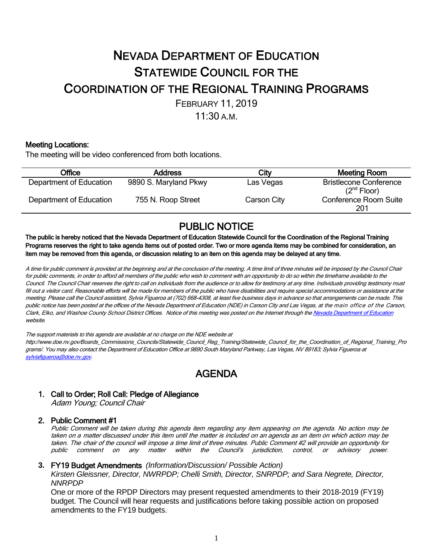# NEVADA DEPARTMENT OF EDUCATION STATEWIDE COUNCIL FOR THE COORDINATION OF THE REGIONAL TRAINING PROGRAMS FEBRUARY 11, 2019

 $11:30 A M$ 

### Meeting Locations:

The meeting will be video conferenced from both locations.

| Office                  | <b>Address</b>        | City        | Meeting Room                                             |
|-------------------------|-----------------------|-------------|----------------------------------------------------------|
| Department of Education | 9890 S. Maryland Pkwy | Las Vegas   | <b>Bristlecone Conference</b><br>(2 <sup>nd</sup> Floor) |
| Department of Education | 755 N. Roop Street    | Carson City | <b>Conference Room Suite</b><br>201                      |

PUBLIC NOTICE<br>The public is hereby noticed that the Nevada Department of Education Statewide Council for the Coordination of the Regional Training Programs reserves the right to take agenda items out of posted order. Two or more agenda items may be combined for consideration, an item may be removed from this agenda, or discussion relating to an item on this agenda may be delayed at any time.

A time for public comment is provided at the beginning and at the conclusion of the meeting. A time limit of three minutes will be imposed by the Council Chair for public comments, in order to afford all members of the public who wish to comment with an opportunity to do so within the timeframe available to the Council. The Council Chair reserves the right to call on individuals from the audience or to allow for testimony at any time. Individuals providing testimony must fill out <sup>a</sup> visitor card. Reasonable efforts will be made for members of the public who have disabilities and require special accommodations or assistance at the meeting. Please call the Council assistant, Sylvia Figueroa at (702) 668-4308, at least five business days in advance so that arrangements can be made. This public notice has been posted at the offices of the Nevada Department of Education (NDE) in Carson City and Las Vegas, at the main office of the Carson, Clark, Elko, and Washoe County School District Offices. Notice of this meeting was posted on the Internet through the Nevada Department of Education website.

The support materials to this agenda are available at no charge on the NDE website at

http://www.doe.nv.gov/Boards\_Commissions\_Councils/Statewide\_Council\_Reg\_Training/Statewide\_Council\_for\_the\_Coordination\_of\_Regional\_Training\_Pro grams/. You may also contact the Department of Education Office at 9890 South Maryland Parkway, Las Vegas, NV 89183; Sylvia Figueroa at [sylviafigueroa@doe.nv.gov.](mailto:sylviafigueroa@doe.nv.gov) 

## AGENDA

## 1. Call to Order; Roll Call: Pledge of Allegiance

Adam Young; Council Chair

#### 2. Public Comment #1

Public Comment will be taken during this agenda item regarding any item appearing on the agenda. No action may be taken on a matter discussed under this item until the matter is included on an agenda as an item on which action may be taken. The chair of the council will impose <sup>a</sup> time limit of three minutes. Public Comment #2 will provide an opportunity for public comment on any matter within the Council's jurisdiction, control, or advisory power.

#### **3.** FY19 Budget Amendments *(Information/Discussion/ Possible Action)*

*Kirsten Gleissner, Director, NWRPDP; Chelli Smith, Director, SNRPDP; and Sara Negrete, Director, NNRPDP*

One or more of the RPDP Directors may present requested amendments to their 2018-2019 (FY19) budget. The Council will hear requests and justifications before taking possible action on proposed amendments to the FY19 budgets.